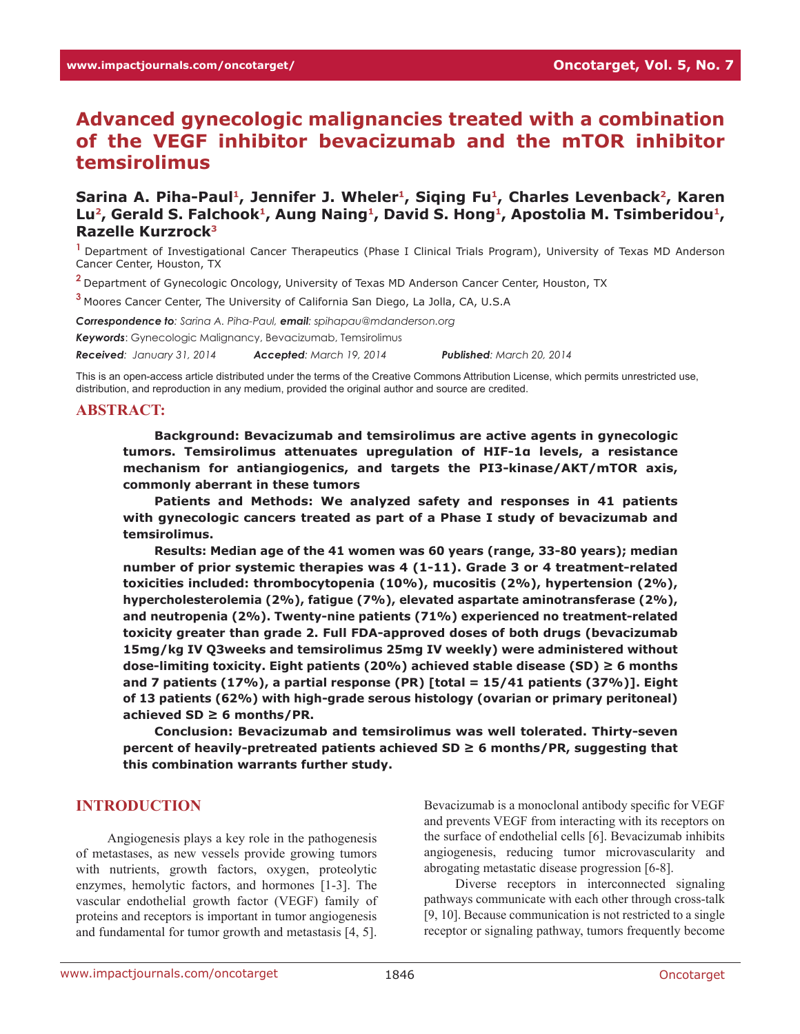# **Advanced gynecologic malignancies treated with a combination of the VEGF inhibitor bevacizumab and the mTOR inhibitor temsirolimus**

Sarina A. Piha-Paul<sup>1</sup>, Jennifer J. Wheler<sup>1</sup>, Siqing Fu<sup>1</sup>, Charles Levenback<sup>2</sup>, Karen Lu<sup>2</sup>, Gerald S. Falchook<sup>1</sup>, Aung Naing<sup>1</sup>, David S. Hong<sup>1</sup>, Apostolia M. Tsimberidou<sup>1</sup>, **Razelle Kurzrock3**

**<sup>1</sup>**Department of Investigational Cancer Therapeutics (Phase I Clinical Trials Program), University of Texas MD Anderson Cancer Center, Houston, TX

**<sup>2</sup>**Department of Gynecologic Oncology, University of Texas MD Anderson Cancer Center, Houston, TX

**<sup>3</sup>**Moores Cancer Center, The University of California San Diego, La Jolla, CA, U.S.A

*Correspondence to: Sarina A. Piha-Paul, email: spihapau@mdanderson.org Keywords*: Gynecologic Malignancy, Bevacizumab, Temsirolimus *Received: January 31, 2014 Accepted: March 19, 2014 Published: March 20, 2014*

This is an open-access article distributed under the terms of the Creative Commons Attribution License, which permits unrestricted use, distribution, and reproduction in any medium, provided the original author and source are credited.

#### **ABSTRACT:**

**Background: Bevacizumab and temsirolimus are active agents in gynecologic tumors. Temsirolimus attenuates upregulation of HIF-1α levels, a resistance mechanism for antiangiogenics, and targets the PI3-kinase/AKT/mTOR axis, commonly aberrant in these tumors**

**Patients and Methods: We analyzed safety and responses in 41 patients with gynecologic cancers treated as part of a Phase I study of bevacizumab and temsirolimus.** 

**Results: Median age of the 41 women was 60 years (range, 33-80 years); median number of prior systemic therapies was 4 (1-11). Grade 3 or 4 treatment-related toxicities included: thrombocytopenia (10%), mucositis (2%), hypertension (2%), hypercholesterolemia (2%), fatigue (7%), elevated aspartate aminotransferase (2%), and neutropenia (2%). Twenty-nine patients (71%) experienced no treatment-related toxicity greater than grade 2. Full FDA-approved doses of both drugs (bevacizumab 15mg/kg IV Q3weeks and temsirolimus 25mg IV weekly) were administered without dose-limiting toxicity. Eight patients (20%) achieved stable disease (SD) ≥ 6 months and 7 patients (17%), a partial response (PR) [total = 15/41 patients (37%)]. Eight of 13 patients (62%) with high-grade serous histology (ovarian or primary peritoneal) achieved SD ≥ 6 months/PR.** 

**Conclusion: Bevacizumab and temsirolimus was well tolerated. Thirty-seven percent of heavily-pretreated patients achieved SD ≥ 6 months/PR, suggesting that this combination warrants further study.** 

### **INTRODUCTION**

Angiogenesis plays a key role in the pathogenesis of metastases, as new vessels provide growing tumors with nutrients, growth factors, oxygen, proteolytic enzymes, hemolytic factors, and hormones [1-3]. The vascular endothelial growth factor (VEGF) family of proteins and receptors is important in tumor angiogenesis and fundamental for tumor growth and metastasis [4, 5].

Bevacizumab is a monoclonal antibody specific for VEGF and prevents VEGF from interacting with its receptors on the surface of endothelial cells [6]. Bevacizumab inhibits angiogenesis, reducing tumor microvascularity and abrogating metastatic disease progression [6-8].

Diverse receptors in interconnected signaling pathways communicate with each other through cross-talk [9, 10]. Because communication is not restricted to a single receptor or signaling pathway, tumors frequently become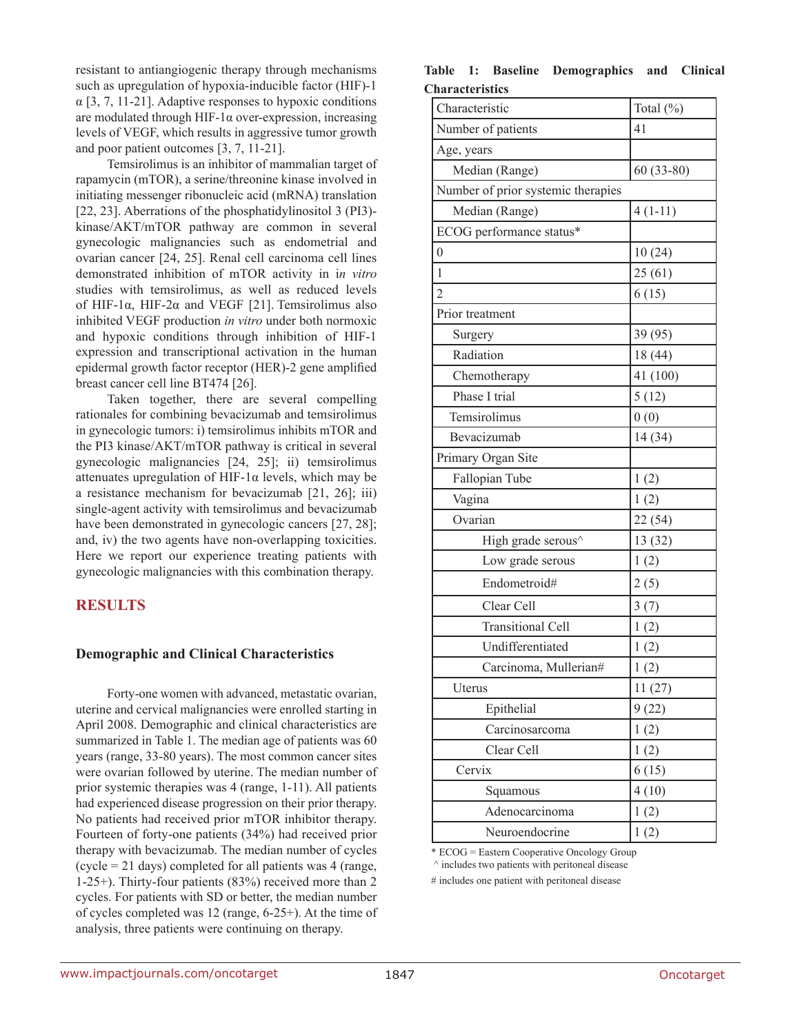resistant to antiangiogenic therapy through mechanisms such as upregulation of hypoxia-inducible factor (HIF)-1  $\alpha$  [3, 7, 11-21]. Adaptive responses to hypoxic conditions are modulated through HIF-1 $\alpha$  over-expression, increasing levels of VEGF, which results in aggressive tumor growth and poor patient outcomes [3, 7, 11-21].

Temsirolimus is an inhibitor of mammalian target of rapamycin (mTOR), a serine/threonine kinase involved in initiating messenger ribonucleic acid (mRNA) translation [22, 23]. Aberrations of the phosphatidylinositol 3 (PI3) kinase/AKT/mTOR pathway are common in several gynecologic malignancies such as endometrial and ovarian cancer [24, 25]. Renal cell carcinoma cell lines demonstrated inhibition of mTOR activity in i*n vitro* studies with temsirolimus, as well as reduced levels of HIF-1 $\alpha$ , HIF-2 $\alpha$  and VEGF [21]. Temsirolimus also inhibited VEGF production *in vitro* under both normoxic and hypoxic conditions through inhibition of HIF-1 expression and transcriptional activation in the human epidermal growth factor receptor (HER)-2 gene amplified breast cancer cell line BT474 [26].

Taken together, there are several compelling rationales for combining bevacizumab and temsirolimus in gynecologic tumors: i) temsirolimus inhibits mTOR and the PI3 kinase/AKT/mTOR pathway is critical in several gynecologic malignancies [24, 25]; ii) temsirolimus attenuates upregulation of HIF-1α levels, which may be a resistance mechanism for bevacizumab [21, 26]; iii) single-agent activity with temsirolimus and bevacizumab have been demonstrated in gynecologic cancers [27, 28]; and, iv) the two agents have non-overlapping toxicities. Here we report our experience treating patients with gynecologic malignancies with this combination therapy.

# **RESULTS**

### **Demographic and Clinical Characteristics**

Forty-one women with advanced, metastatic ovarian, uterine and cervical malignancies were enrolled starting in April 2008. Demographic and clinical characteristics are summarized in Table 1. The median age of patients was 60 years (range, 33-80 years). The most common cancer sites were ovarian followed by uterine. The median number of prior systemic therapies was 4 (range, 1-11). All patients had experienced disease progression on their prior therapy. No patients had received prior mTOR inhibitor therapy. Fourteen of forty-one patients (34%) had received prior therapy with bevacizumab. The median number of cycles (cycle = 21 days) completed for all patients was 4 (range, 1-25+). Thirty-four patients (83%) received more than 2 cycles. For patients with SD or better, the median number of cycles completed was 12 (range, 6-25+). At the time of analysis, three patients were continuing on therapy.

|                        |  | Table 1: Baseline Demographics and Clinical |  |
|------------------------|--|---------------------------------------------|--|
| <b>Characteristics</b> |  |                                             |  |

| haracteristics                     |             |
|------------------------------------|-------------|
| Characteristic                     | Total (%)   |
| Number of patients                 | 41          |
| Age, years                         |             |
| Median (Range)                     | $60(33-80)$ |
| Number of prior systemic therapies |             |
| Median (Range)                     | $4(1-11)$   |
| ECOG performance status*           |             |
| $\overline{0}$                     | 10(24)      |
| $\mathbf{1}$                       | 25(61)      |
| $\overline{2}$                     | 6(15)       |
| Prior treatment                    |             |
| Surgery                            | 39 (95)     |
| Radiation                          | 18 (44)     |
| Chemotherapy                       | 41 (100)    |
| Phase I trial                      | 5(12)       |
| Temsirolimus                       | 0(0)        |
| Bevacizumab                        | 14(34)      |
| Primary Organ Site                 |             |
| Fallopian Tube                     | 1(2)        |
| Vagina                             | 1(2)        |
| Ovarian                            | 22 (54)     |
| High grade serous^                 | 13 (32)     |
| Low grade serous                   | 1(2)        |
| Endometroid#                       | 2(5)        |
| Clear Cell                         | 3(7)        |
| <b>Transitional Cell</b>           | 1(2)        |
| Undifferentiated                   | 1(2)        |
| Carcinoma, Mullerian#              | 1(2)        |
| Uterus                             | 11(27)      |
| Epithelial                         | 9(22)       |
| Carcinosarcoma                     | 1(2)        |
| Clear Cell                         | 1(2)        |
| Cervix                             | 6(15)       |
| Squamous                           | 4(10)       |
| Adenocarcinoma                     | 1(2)        |
| Neuroendocrine                     | 1(2)        |

\* ECOG = Eastern Cooperative Oncology Group

^ includes two patients with peritoneal disease

# includes one patient with peritoneal disease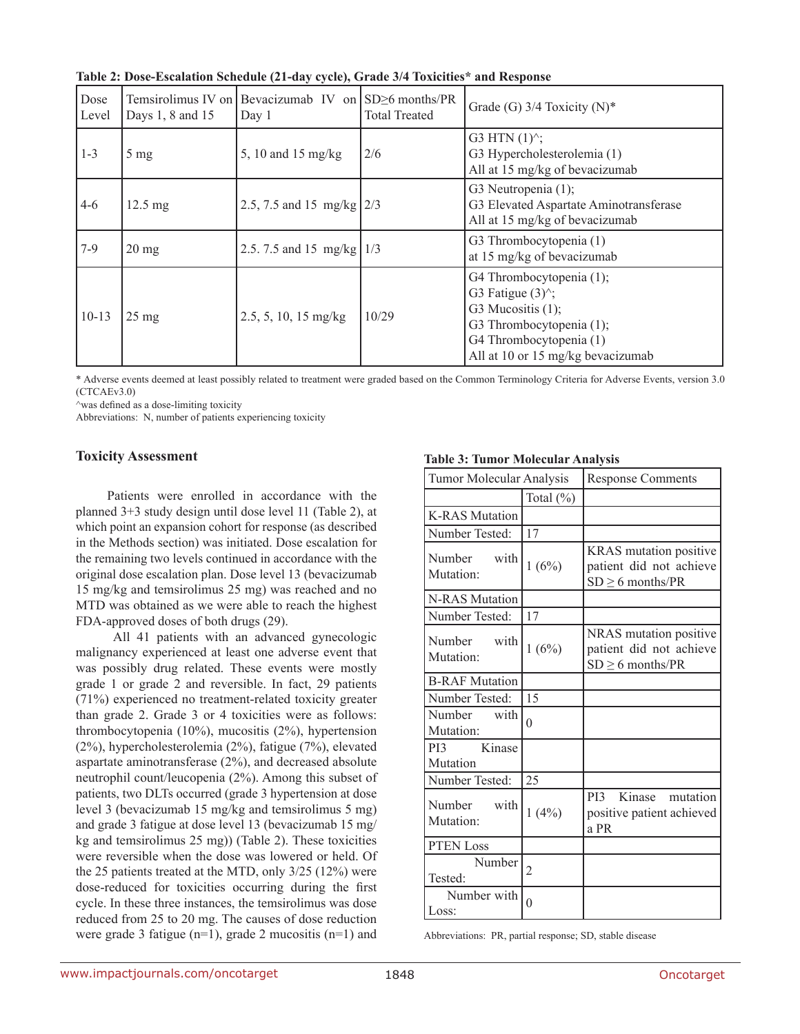| Table 2: Dose-Escalation Schedule (21-day cycle), Grade 3/4 Toxicities* and Response |
|--------------------------------------------------------------------------------------|
|--------------------------------------------------------------------------------------|

| Dose<br>Level | Days 1, 8 and 15  | Temsirolimus IV on Bevacizumab IV on $SD \ge 6$ months/PR<br>Day 1 | <b>Total Treated</b> | Grade (G) $3/4$ Toxicity (N)*                                                                                                                                                                      |
|---------------|-------------------|--------------------------------------------------------------------|----------------------|----------------------------------------------------------------------------------------------------------------------------------------------------------------------------------------------------|
| $1 - 3$       | $5 \text{ mg}$    | 5, 10 and 15 mg/kg                                                 | 2/6                  | G3 HTN $(1)^{\wedge}$ ;<br>G3 Hypercholesterolemia (1)<br>All at 15 mg/kg of bevacizumab                                                                                                           |
| $4 - 6$       | $12.5 \text{ mg}$ | $2.5$ , 7.5 and 15 mg/kg $2/3$                                     |                      | G3 Neutropenia (1);<br>G3 Elevated Aspartate Aminotransferase<br>All at 15 mg/kg of bevacizumab                                                                                                    |
| $7-9$         | $20 \text{ mg}$   | 2.5.7.5 and 15 mg/kg   1/3                                         |                      | G3 Thrombocytopenia (1)<br>at 15 mg/kg of bevacizumab                                                                                                                                              |
| $10-13$       | $25 \text{ mg}$   | $2.5, 5, 10, 15$ mg/kg                                             | 10/29                | G4 Thrombocytopenia (1);<br>G3 Fatigue $(3)$ <sup><math>\hat{ }</math></sup> ;<br>G3 Mucositis $(1)$ ;<br>G3 Thrombocytopenia (1);<br>G4 Thrombocytopenia (1)<br>All at 10 or 15 mg/kg bevacizumab |

\* Adverse events deemed at least possibly related to treatment were graded based on the Common Terminology Criteria for Adverse Events, version 3.0 (CTCAEv3.0)

^was defined as a dose-limiting toxicity

Abbreviations: N, number of patients experiencing toxicity

### **Toxicity Assessment**

Patients were enrolled in accordance with the planned 3+3 study design until dose level 11 (Table 2), at which point an expansion cohort for response (as described in the Methods section) was initiated. Dose escalation for the remaining two levels continued in accordance with the original dose escalation plan. Dose level 13 (bevacizumab 15 mg/kg and temsirolimus 25 mg) was reached and no MTD was obtained as we were able to reach the highest FDA-approved doses of both drugs (29).

 All 41 patients with an advanced gynecologic malignancy experienced at least one adverse event that was possibly drug related. These events were mostly grade 1 or grade 2 and reversible. In fact, 29 patients (71%) experienced no treatment-related toxicity greater than grade 2. Grade 3 or 4 toxicities were as follows: thrombocytopenia (10%), mucositis (2%), hypertension (2%), hypercholesterolemia (2%), fatigue (7%), elevated aspartate aminotransferase (2%), and decreased absolute neutrophil count/leucopenia (2%). Among this subset of patients, two DLTs occurred (grade 3 hypertension at dose level 3 (bevacizumab 15 mg/kg and temsirolimus 5 mg) and grade 3 fatigue at dose level 13 (bevacizumab 15 mg/ kg and temsirolimus 25 mg)) (Table 2). These toxicities were reversible when the dose was lowered or held. Of the 25 patients treated at the MTD, only 3/25 (12%) were dose-reduced for toxicities occurring during the first cycle. In these three instances, the temsirolimus was dose reduced from 25 to 20 mg. The causes of dose reduction were grade 3 fatigue (n=1), grade 2 mucositis (n=1) and

**Table 3: Tumor Molecular Analysis**

| Tumor Molecular Analysis    |                | <b>Response Comments</b>                                                   |
|-----------------------------|----------------|----------------------------------------------------------------------------|
|                             | Total (%)      |                                                                            |
| <b>K-RAS Mutation</b>       |                |                                                                            |
| Number Tested:              | 17             |                                                                            |
| Number with<br>Mutation:    | 1(6%)          | KRAS mutation positive<br>patient did not achieve<br>$SD \geq 6$ months/PR |
| <b>N-RAS Mutation</b>       |                |                                                                            |
| Number Tested:              | 17             |                                                                            |
| Number<br>with<br>Mutation: | 1(6%)          | NRAS mutation positive<br>patient did not achieve<br>$SD \geq 6$ months/PR |
| <b>B-RAF Mutation</b>       |                |                                                                            |
| Number Tested:              | 15             |                                                                            |
| Number<br>with<br>Mutation: | $\theta$       |                                                                            |
| Kinase<br>PI3<br>Mutation   |                |                                                                            |
| Number Tested:              | 25             |                                                                            |
| Number with<br>Mutation:    | 1(4%)          | Kinase<br>PI3<br>mutation<br>positive patient achieved<br>a PR             |
| PTEN Loss                   |                |                                                                            |
| Number<br>Tested:           | $\overline{c}$ |                                                                            |
| Number with<br>Loss:        | $\overline{0}$ |                                                                            |

Abbreviations: PR, partial response; SD, stable disease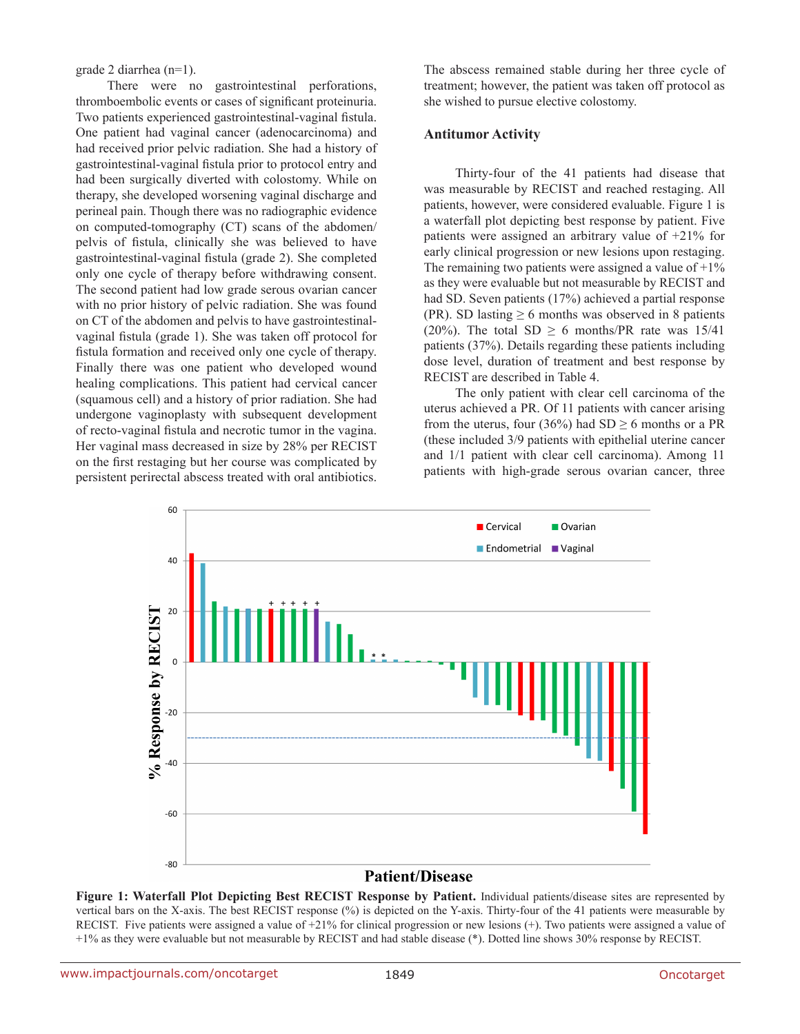grade 2 diarrhea (n=1).

There were no gastrointestinal perforations, thromboembolic events or cases of significant proteinuria. Two patients experienced gastrointestinal-vaginal fistula. One patient had vaginal cancer (adenocarcinoma) and had received prior pelvic radiation. She had a history of gastrointestinal-vaginal fistula prior to protocol entry and had been surgically diverted with colostomy. While on therapy, she developed worsening vaginal discharge and perineal pain. Though there was no radiographic evidence on computed-tomography (CT) scans of the abdomen/ pelvis of fistula, clinically she was believed to have gastrointestinal-vaginal fistula (grade 2). She completed only one cycle of therapy before withdrawing consent. The second patient had low grade serous ovarian cancer with no prior history of pelvic radiation. She was found on CT of the abdomen and pelvis to have gastrointestinalvaginal fistula (grade 1). She was taken off protocol for fistula formation and received only one cycle of therapy. Finally there was one patient who developed wound healing complications. This patient had cervical cancer (squamous cell) and a history of prior radiation. She had undergone vaginoplasty with subsequent development of recto-vaginal fistula and necrotic tumor in the vagina. Her vaginal mass decreased in size by 28% per RECIST on the first restaging but her course was complicated by persistent perirectal abscess treated with oral antibiotics.

The abscess remained stable during her three cycle of treatment; however, the patient was taken off protocol as she wished to pursue elective colostomy.

#### **Antitumor Activity**

Thirty-four of the 41 patients had disease that was measurable by RECIST and reached restaging. All patients, however, were considered evaluable. Figure 1 is a waterfall plot depicting best response by patient. Five patients were assigned an arbitrary value of +21% for early clinical progression or new lesions upon restaging. The remaining two patients were assigned a value of  $+1\%$ as they were evaluable but not measurable by RECIST and had SD. Seven patients (17%) achieved a partial response (PR). SD lasting  $\geq 6$  months was observed in 8 patients (20%). The total SD  $\geq$  6 months/PR rate was 15/41 patients (37%). Details regarding these patients including dose level, duration of treatment and best response by RECIST are described in Table 4.

The only patient with clear cell carcinoma of the uterus achieved a PR. Of 11 patients with cancer arising from the uterus, four (36%) had  $SD \ge 6$  months or a PR (these included 3/9 patients with epithelial uterine cancer and 1/1 patient with clear cell carcinoma). Among 11 patients with high-grade serous ovarian cancer, three



**Figure 1: Waterfall Plot Depicting Best RECIST Response by Patient.** Individual patients/disease sites are represented by vertical bars on the X-axis. The best RECIST response (%) is depicted on the Y-axis. Thirty-four of the 41 patients were measurable by RECIST. Five patients were assigned a value of +21% for clinical progression or new lesions (+). Two patients were assigned a value of +1% as they were evaluable but not measurable by RECIST and had stable disease (\*). Dotted line shows 30% response by RECIST.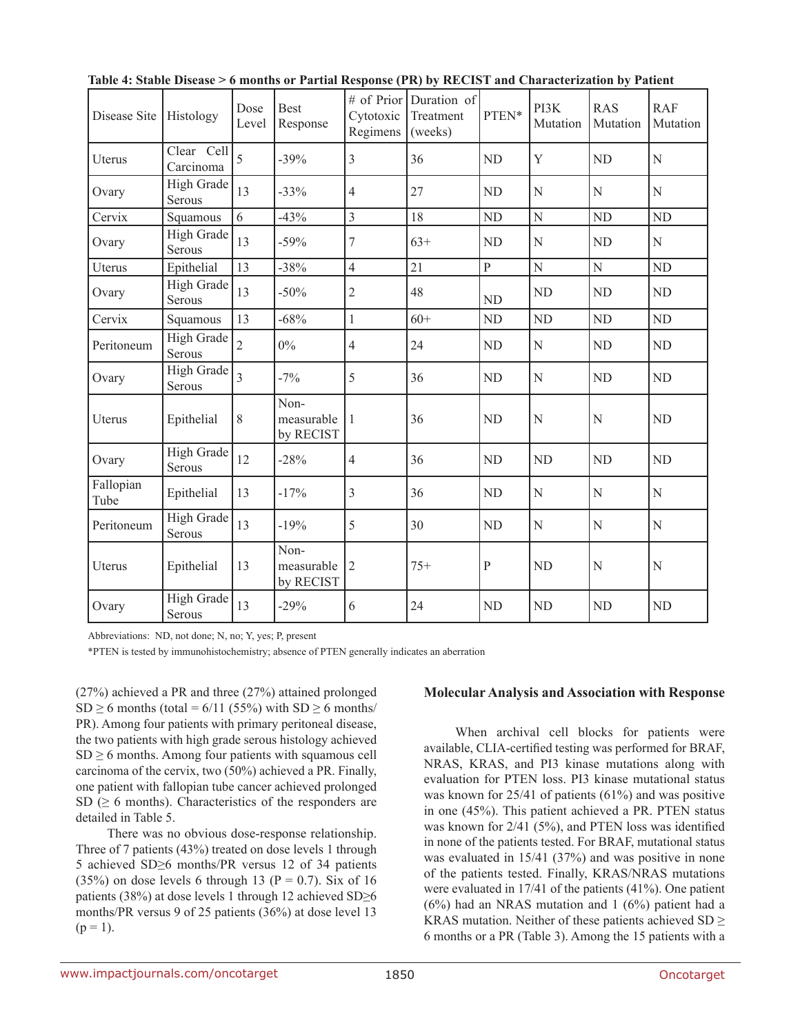| Disease Site      | Histology                   | Dose<br>Level   | <b>Best</b><br>Response         | Cytotoxic<br>Regimens | # of Prior Duration of<br>Treatment<br>(weeks) | $\text{PTEN*}$ | PI3K<br>Mutation | <b>RAS</b><br>Mutation | <b>RAF</b><br>Mutation |
|-------------------|-----------------------------|-----------------|---------------------------------|-----------------------|------------------------------------------------|----------------|------------------|------------------------|------------------------|
| Uterus            | Clear Cell<br>Carcinoma     | $\overline{5}$  | $-39%$                          | $\overline{3}$        | 36                                             | <b>ND</b>      | Y                | <b>ND</b>              | N                      |
| Ovary             | High Grade<br>Serous        | 13              | $-33%$                          | $\overline{4}$        | 27                                             | <b>ND</b>      | N                | N                      | N                      |
| Cervix            | Squamous                    | 6               | $-43%$                          | $\overline{3}$        | 18                                             | <b>ND</b>      | $\mathbf N$      | <b>ND</b>              | <b>ND</b>              |
| Ovary             | High Grade<br>Serous        | 13              | $-59%$                          | $\tau$                | $63+$                                          | <b>ND</b>      | N                | <b>ND</b>              | $\mathbf N$            |
| Uterus            | Epithelial                  | $\overline{13}$ | $-38%$                          | $\overline{4}$        | 21                                             | $\overline{P}$ | $\mathbf N$      | N                      | <b>ND</b>              |
| Ovary             | High Grade<br>Serous        | 13              | $-50%$                          | $\overline{2}$        | 48                                             | <b>ND</b>      | <b>ND</b>        | <b>ND</b>              | <b>ND</b>              |
| Cervix            | Squamous                    | 13              | $-68%$                          | $\mathbf{1}$          | $60+$                                          | <b>ND</b>      | N <sub>D</sub>   | ND                     | <b>ND</b>              |
| Peritoneum        | High Grade<br>Serous        | $\overline{2}$  | $0\%$                           | $\overline{4}$        | 24                                             | <b>ND</b>      | N                | <b>ND</b>              | <b>ND</b>              |
| Ovary             | High Grade<br>Serous        | $\overline{3}$  | $-7%$                           | 5                     | 36                                             | <b>ND</b>      | N                | <b>ND</b>              | ND                     |
| Uterus            | Epithelial                  | 8               | Non-<br>measurable<br>by RECIST | $\mathbf{1}$          | 36                                             | <b>ND</b>      | N                | $\overline{N}$         | <b>ND</b>              |
| Ovary             | High Grade<br>Serous        | 12              | $-28%$                          | $\overline{4}$        | 36                                             | ND             | ${\rm ND}$       | ${\rm ND}$             | ND                     |
| Fallopian<br>Tube | Epithelial                  | 13              | $-17%$                          | $\overline{3}$        | 36                                             | <b>ND</b>      | N                | N                      | N                      |
| Peritoneum        | <b>High Grade</b><br>Serous | 13              | $-19%$                          | 5                     | 30                                             | <b>ND</b>      | N                | N                      | N                      |
| Uterus            | Epithelial                  | 13              | Non-<br>measurable<br>by RECIST | $\overline{2}$        | $75+$                                          | $\, {\bf P}$   | <b>ND</b>        | $\overline{N}$         | N                      |
| Ovary             | High Grade<br>Serous        | 13              | $-29%$                          | 6                     | 24                                             | N <sub>D</sub> | <b>ND</b>        | N <sub>D</sub>         | <b>ND</b>              |

**Table 4: Stable Disease > 6 months or Partial Response (PR) by RECIST and Characterization by Patient**

Abbreviations: ND, not done; N, no; Y, yes; P, present

\*PTEN is tested by immunohistochemistry; absence of PTEN generally indicates an aberration

(27%) achieved a PR and three (27%) attained prolonged  $SD \ge 6$  months (total = 6/11 (55%) with  $SD \ge 6$  months/ PR). Among four patients with primary peritoneal disease, the two patients with high grade serous histology achieved  $SD \ge 6$  months. Among four patients with squamous cell carcinoma of the cervix, two (50%) achieved a PR. Finally, one patient with fallopian tube cancer achieved prolonged SD ( $\geq$  6 months). Characteristics of the responders are detailed in Table 5.

There was no obvious dose-response relationship. Three of 7 patients (43%) treated on dose levels 1 through 5 achieved SD≥6 months/PR versus 12 of 34 patients (35%) on dose levels 6 through 13 ( $P = 0.7$ ). Six of 16 patients (38%) at dose levels 1 through 12 achieved SD≥6 months/PR versus 9 of 25 patients (36%) at dose level 13  $(p = 1)$ .

#### **Molecular Analysis and Association with Response**

When archival cell blocks for patients were available, CLIA-certified testing was performed for BRAF, NRAS, KRAS, and PI3 kinase mutations along with evaluation for PTEN loss. PI3 kinase mutational status was known for 25/41 of patients (61%) and was positive in one (45%). This patient achieved a PR. PTEN status was known for 2/41 (5%), and PTEN loss was identified in none of the patients tested. For BRAF, mutational status was evaluated in 15/41 (37%) and was positive in none of the patients tested. Finally, KRAS/NRAS mutations were evaluated in 17/41 of the patients (41%). One patient (6%) had an NRAS mutation and 1 (6%) patient had a KRAS mutation. Neither of these patients achieved  $SD \geq$ 6 months or a PR (Table 3). Among the 15 patients with a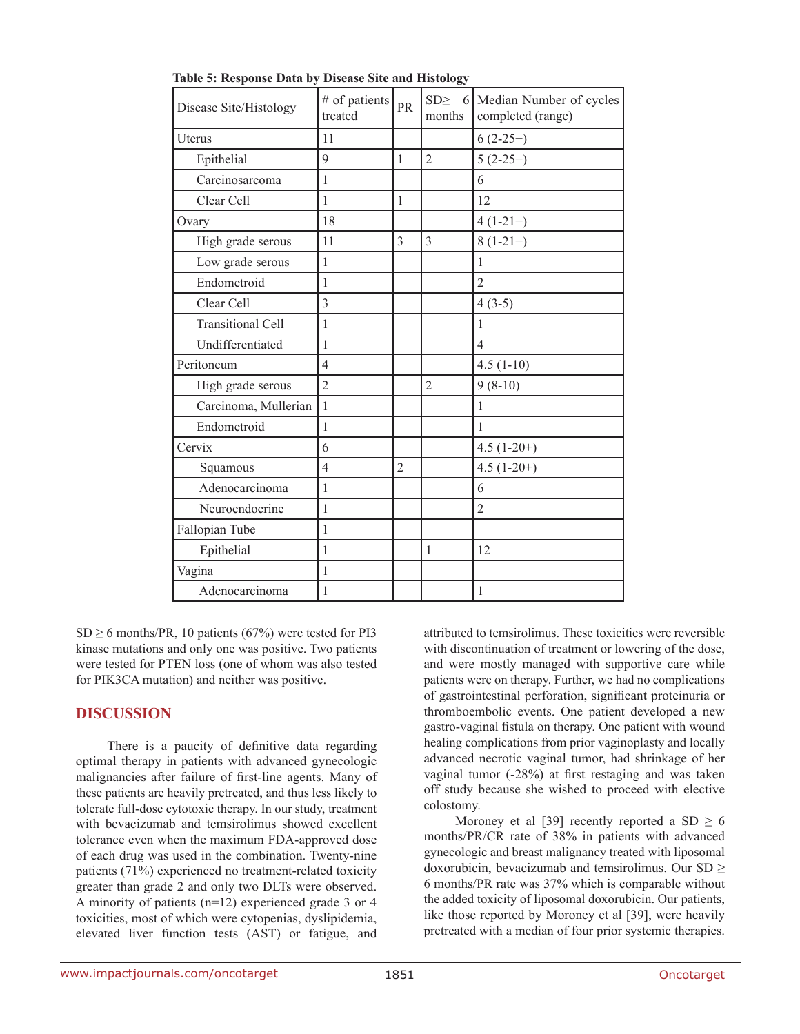| Disease Site/Histology   | # of patients<br>treated | PR             | $SD \geq 6$<br>months | Median Number of cycles<br>completed (range) |
|--------------------------|--------------------------|----------------|-----------------------|----------------------------------------------|
| Uterus                   | 11                       |                |                       | $6(2-25+)$                                   |
| Epithelial               | 9                        | 1              | $\overline{2}$        | $5(2-25+)$                                   |
| Carcinosarcoma           | 1                        |                |                       | 6                                            |
| Clear Cell               | 1                        | 1              |                       | 12                                           |
| Ovary                    | 18                       |                |                       | $4(1-21+)$                                   |
| High grade serous        | 11                       | 3              | 3                     | $8(1-21+)$                                   |
| Low grade serous         | 1                        |                |                       | 1                                            |
| Endometroid              | 1                        |                |                       | $\overline{2}$                               |
| Clear Cell               | $\overline{3}$           |                |                       | $4(3-5)$                                     |
| <b>Transitional Cell</b> | 1                        |                |                       | $\mathbf{1}$                                 |
| Undifferentiated         | 1                        |                |                       | $\overline{4}$                               |
| Peritoneum               | $\overline{4}$           |                |                       | $4.5(1-10)$                                  |
| High grade serous        | $\overline{2}$           |                | $\overline{2}$        | $9(8-10)$                                    |
| Carcinoma, Mullerian     | $\mathbf{1}$             |                |                       | $\mathbf{1}$                                 |
| Endometroid              | 1                        |                |                       | $\mathbf{1}$                                 |
| Cervix                   | 6                        |                |                       | $4.5(1-20+)$                                 |
| Squamous                 | $\overline{4}$           | $\overline{2}$ |                       | $4.5(1-20+)$                                 |
| Adenocarcinoma           | 1                        |                |                       | 6                                            |
| Neuroendocrine           | 1                        |                |                       | $\overline{2}$                               |
| Fallopian Tube           | 1                        |                |                       |                                              |
| Epithelial               | 1                        |                | 1                     | 12                                           |
| Vagina                   | 1                        |                |                       |                                              |
| Adenocarcinoma           | 1                        |                |                       | $\mathbf{1}$                                 |

**Table 5: Response Data by Disease Site and Histology**

 $SD \ge 6$  months/PR, 10 patients (67%) were tested for PI3 kinase mutations and only one was positive. Two patients were tested for PTEN loss (one of whom was also tested for PIK3CA mutation) and neither was positive.

# **DISCUSSION**

There is a paucity of definitive data regarding optimal therapy in patients with advanced gynecologic malignancies after failure of first-line agents. Many of these patients are heavily pretreated, and thus less likely to tolerate full-dose cytotoxic therapy. In our study, treatment with bevacizumab and temsirolimus showed excellent tolerance even when the maximum FDA-approved dose of each drug was used in the combination. Twenty-nine patients (71%) experienced no treatment-related toxicity greater than grade 2 and only two DLTs were observed. A minority of patients (n=12) experienced grade 3 or 4 toxicities, most of which were cytopenias, dyslipidemia, elevated liver function tests (AST) or fatigue, and

attributed to temsirolimus. These toxicities were reversible with discontinuation of treatment or lowering of the dose. and were mostly managed with supportive care while patients were on therapy. Further, we had no complications of gastrointestinal perforation, significant proteinuria or thromboembolic events. One patient developed a new gastro-vaginal fistula on therapy. One patient with wound healing complications from prior vaginoplasty and locally advanced necrotic vaginal tumor, had shrinkage of her vaginal tumor (-28%) at first restaging and was taken off study because she wished to proceed with elective colostomy.

Moroney et al [39] recently reported a  $SD \ge 6$ months/PR/CR rate of 38% in patients with advanced gynecologic and breast malignancy treated with liposomal doxorubicin, bevacizumab and temsirolimus. Our  $SD \geq$ 6 months/PR rate was 37% which is comparable without the added toxicity of liposomal doxorubicin. Our patients, like those reported by Moroney et al [39], were heavily pretreated with a median of four prior systemic therapies.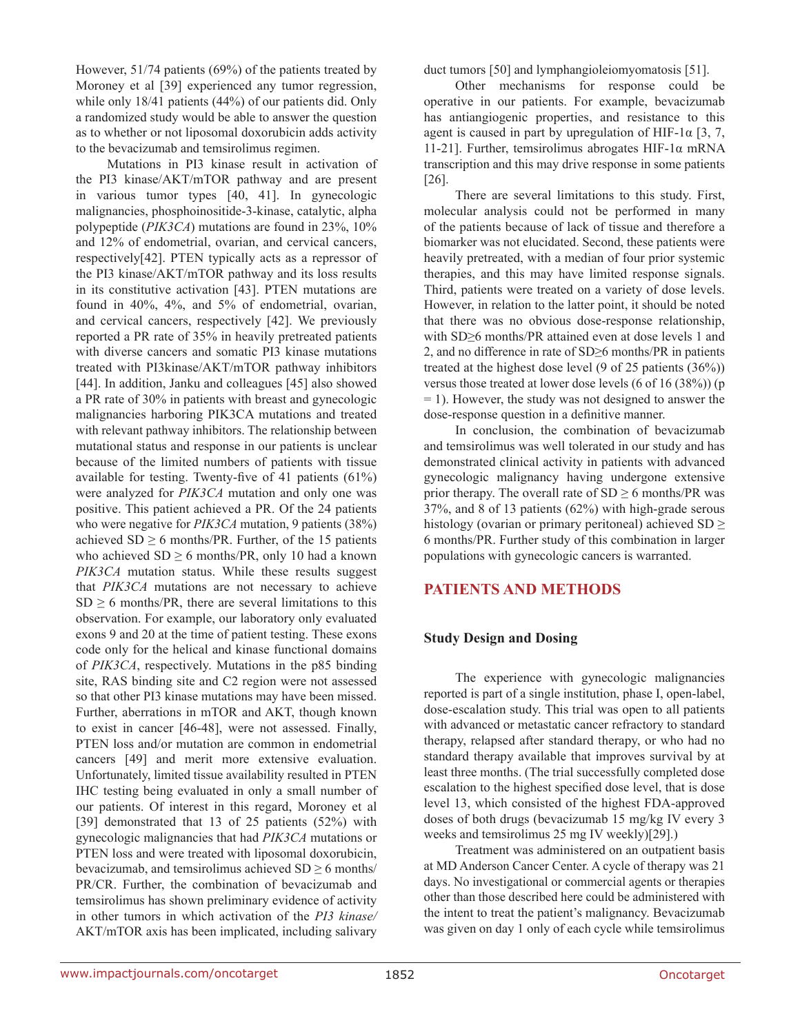However, 51/74 patients (69%) of the patients treated by Moroney et al [39] experienced any tumor regression, while only 18/41 patients (44%) of our patients did. Only a randomized study would be able to answer the question as to whether or not liposomal doxorubicin adds activity to the bevacizumab and temsirolimus regimen.

Mutations in PI3 kinase result in activation of the PI3 kinase/AKT/mTOR pathway and are present in various tumor types [40, 41]. In gynecologic malignancies, phosphoinositide-3-kinase, catalytic, alpha polypeptide (*PIK3CA*) mutations are found in 23%, 10% and 12% of endometrial, ovarian, and cervical cancers, respectively[42]. PTEN typically acts as a repressor of the PI3 kinase/AKT/mTOR pathway and its loss results in its constitutive activation [43]. PTEN mutations are found in 40%, 4%, and 5% of endometrial, ovarian, and cervical cancers, respectively [42]. We previously reported a PR rate of 35% in heavily pretreated patients with diverse cancers and somatic PI3 kinase mutations treated with PI3kinase/AKT/mTOR pathway inhibitors [44]. In addition, Janku and colleagues [45] also showed a PR rate of 30% in patients with breast and gynecologic malignancies harboring PIK3CA mutations and treated with relevant pathway inhibitors. The relationship between mutational status and response in our patients is unclear because of the limited numbers of patients with tissue available for testing. Twenty-five of 41 patients (61%) were analyzed for *PIK3CA* mutation and only one was positive. This patient achieved a PR. Of the 24 patients who were negative for *PIK3CA* mutation, 9 patients (38%) achieved  $SD \ge 6$  months/PR. Further, of the 15 patients who achieved  $SD \ge 6$  months/PR, only 10 had a known *PIK3CA* mutation status. While these results suggest that *PIK3CA* mutations are not necessary to achieve  $SD \ge 6$  months/PR, there are several limitations to this observation. For example, our laboratory only evaluated exons 9 and 20 at the time of patient testing. These exons code only for the helical and kinase functional domains of *PIK3CA*, respectively. Mutations in the p85 binding site, RAS binding site and C2 region were not assessed so that other PI3 kinase mutations may have been missed. Further, aberrations in mTOR and AKT, though known to exist in cancer [46-48], were not assessed. Finally, PTEN loss and/or mutation are common in endometrial cancers [49] and merit more extensive evaluation. Unfortunately, limited tissue availability resulted in PTEN IHC testing being evaluated in only a small number of our patients. Of interest in this regard, Moroney et al [39] demonstrated that 13 of 25 patients (52%) with gynecologic malignancies that had *PIK3CA* mutations or PTEN loss and were treated with liposomal doxorubicin, bevacizumab, and temsirolimus achieved  $SD \ge 6$  months/ PR/CR. Further, the combination of bevacizumab and temsirolimus has shown preliminary evidence of activity in other tumors in which activation of the *PI3 kinase/* AKT/mTOR axis has been implicated, including salivary duct tumors [50] and lymphangioleiomyomatosis [51].

Other mechanisms for response could be operative in our patients. For example, bevacizumab has antiangiogenic properties, and resistance to this agent is caused in part by upregulation of HIF-1 $\alpha$  [3, 7, 11-21]. Further, temsirolimus abrogates HIF-1 $\alpha$  mRNA transcription and this may drive response in some patients [26].

There are several limitations to this study. First, molecular analysis could not be performed in many of the patients because of lack of tissue and therefore a biomarker was not elucidated. Second, these patients were heavily pretreated, with a median of four prior systemic therapies, and this may have limited response signals. Third, patients were treated on a variety of dose levels. However, in relation to the latter point, it should be noted that there was no obvious dose-response relationship, with SD≥6 months/PR attained even at dose levels 1 and 2, and no difference in rate of SD≥6 months/PR in patients treated at the highest dose level (9 of 25 patients (36%)) versus those treated at lower dose levels (6 of 16 (38%)) (p = 1). However, the study was not designed to answer the dose-response question in a definitive manner.

In conclusion, the combination of bevacizumab and temsirolimus was well tolerated in our study and has demonstrated clinical activity in patients with advanced gynecologic malignancy having undergone extensive prior therapy. The overall rate of  $SD \ge 6$  months/PR was 37%, and 8 of 13 patients (62%) with high-grade serous histology (ovarian or primary peritoneal) achieved  $SD \geq$ 6 months/PR. Further study of this combination in larger populations with gynecologic cancers is warranted.

# **PATIENTS AND METHODS**

#### **Study Design and Dosing**

The experience with gynecologic malignancies reported is part of a single institution, phase I, open-label, dose-escalation study. This trial was open to all patients with advanced or metastatic cancer refractory to standard therapy, relapsed after standard therapy, or who had no standard therapy available that improves survival by at least three months. (The trial successfully completed dose escalation to the highest specified dose level, that is dose level 13, which consisted of the highest FDA-approved doses of both drugs (bevacizumab 15 mg/kg IV every 3 weeks and temsirolimus 25 mg IV weekly)[29].)

Treatment was administered on an outpatient basis at MD Anderson Cancer Center. A cycle of therapy was 21 days. No investigational or commercial agents or therapies other than those described here could be administered with the intent to treat the patient's malignancy. Bevacizumab was given on day 1 only of each cycle while temsirolimus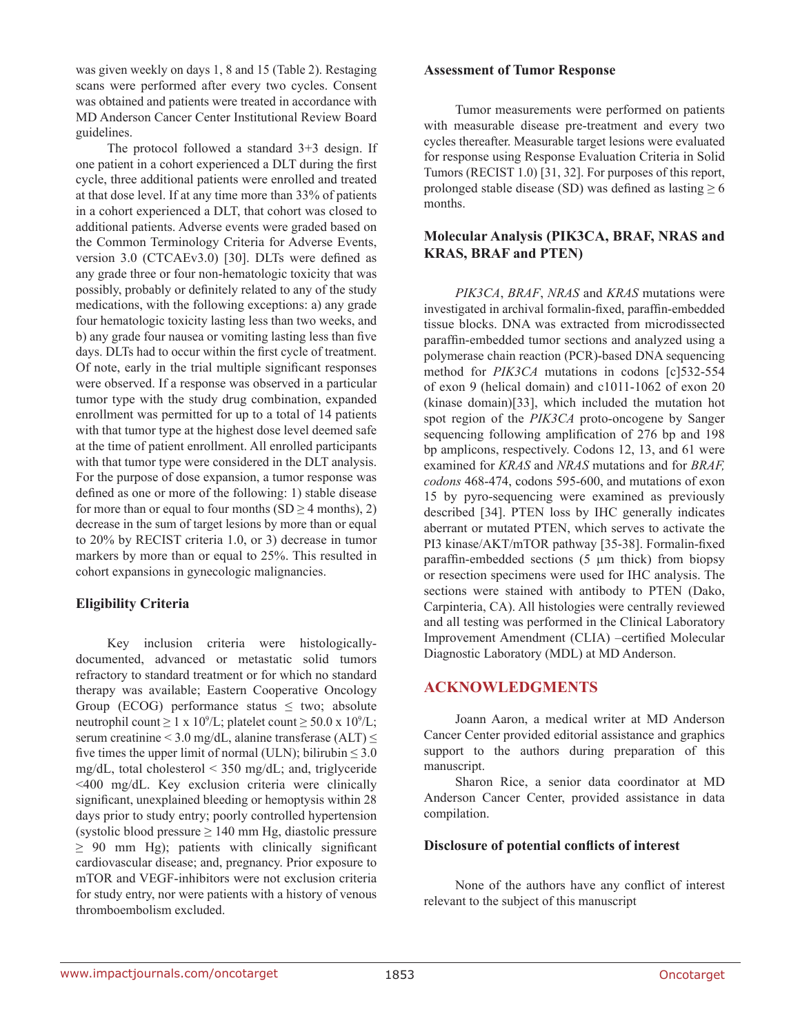was given weekly on days 1, 8 and 15 (Table 2). Restaging scans were performed after every two cycles. Consent was obtained and patients were treated in accordance with MD Anderson Cancer Center Institutional Review Board guidelines.

The protocol followed a standard 3+3 design. If one patient in a cohort experienced a DLT during the first cycle, three additional patients were enrolled and treated at that dose level. If at any time more than 33% of patients in a cohort experienced a DLT, that cohort was closed to additional patients. Adverse events were graded based on the Common Terminology Criteria for Adverse Events, version 3.0 (CTCAEv3.0) [30]. DLTs were defined as any grade three or four non-hematologic toxicity that was possibly, probably or definitely related to any of the study medications, with the following exceptions: a) any grade four hematologic toxicity lasting less than two weeks, and b) any grade four nausea or vomiting lasting less than five days. DLTs had to occur within the first cycle of treatment. Of note, early in the trial multiple significant responses were observed. If a response was observed in a particular tumor type with the study drug combination, expanded enrollment was permitted for up to a total of 14 patients with that tumor type at the highest dose level deemed safe at the time of patient enrollment. All enrolled participants with that tumor type were considered in the DLT analysis. For the purpose of dose expansion, a tumor response was defined as one or more of the following: 1) stable disease for more than or equal to four months  $(SD \geq 4$  months), 2) decrease in the sum of target lesions by more than or equal to 20% by RECIST criteria 1.0, or 3) decrease in tumor markers by more than or equal to 25%. This resulted in cohort expansions in gynecologic malignancies.

# **Eligibility Criteria**

Key inclusion criteria were histologicallydocumented, advanced or metastatic solid tumors refractory to standard treatment or for which no standard therapy was available; Eastern Cooperative Oncology Group (ECOG) performance status  $\leq$  two; absolute neutrophil count  $\geq 1 \times 10^9$ /L; platelet count  $\geq 50.0 \times 10^9$ /L; serum creatinine < 3.0 mg/dL, alanine transferase (ALT)  $\leq$ five times the upper limit of normal (ULN); bilirubin  $\leq 3.0$ mg/dL, total cholesterol < 350 mg/dL; and, triglyceride <400 mg/dL. Key exclusion criteria were clinically significant, unexplained bleeding or hemoptysis within 28 days prior to study entry; poorly controlled hypertension (systolic blood pressure  $\geq 140$  mm Hg, diastolic pressure  $\geq$  90 mm Hg); patients with clinically significant cardiovascular disease; and, pregnancy. Prior exposure to mTOR and VEGF-inhibitors were not exclusion criteria for study entry, nor were patients with a history of venous thromboembolism excluded.

#### **Assessment of Tumor Response**

Tumor measurements were performed on patients with measurable disease pre-treatment and every two cycles thereafter. Measurable target lesions were evaluated for response using Response Evaluation Criteria in Solid Tumors (RECIST 1.0) [31, 32]. For purposes of this report, prolonged stable disease (SD) was defined as lasting  $\geq 6$ months.

### **Molecular Analysis (PIK3CA, BRAF, NRAS and KRAS, BRAF and PTEN)**

*PIK3CA*, *BRAF*, *NRAS* and *KRAS* mutations were investigated in archival formalin-fixed, paraffin-embedded tissue blocks. DNA was extracted from microdissected paraffin-embedded tumor sections and analyzed using a polymerase chain reaction (PCR)-based DNA sequencing method for *PIK3CA* mutations in codons [c]532-554 of exon 9 (helical domain) and c1011-1062 of exon 20 (kinase domain)[33], which included the mutation hot spot region of the *PIK3CA* proto-oncogene by Sanger sequencing following amplification of 276 bp and 198 bp amplicons, respectively. Codons 12, 13, and 61 were examined for *KRAS* and *NRAS* mutations and for *BRAF, codons* 468-474, codons 595-600, and mutations of exon 15 by pyro-sequencing were examined as previously described [34]. PTEN loss by IHC generally indicates aberrant or mutated PTEN, which serves to activate the PI3 kinase/AKT/mTOR pathway [35-38]. Formalin-fixed paraffin-embedded sections (5 µm thick) from biopsy or resection specimens were used for IHC analysis. The sections were stained with antibody to PTEN (Dako, Carpinteria, CA). All histologies were centrally reviewed and all testing was performed in the Clinical Laboratory Improvement Amendment (CLIA) –certified Molecular Diagnostic Laboratory (MDL) at MD Anderson.

# **ACKNOWLEDGMENTS**

Joann Aaron, a medical writer at MD Anderson Cancer Center provided editorial assistance and graphics support to the authors during preparation of this manuscript.

Sharon Rice, a senior data coordinator at MD Anderson Cancer Center, provided assistance in data compilation.

#### **Disclosure of potential conflicts of interest**

None of the authors have any conflict of interest relevant to the subject of this manuscript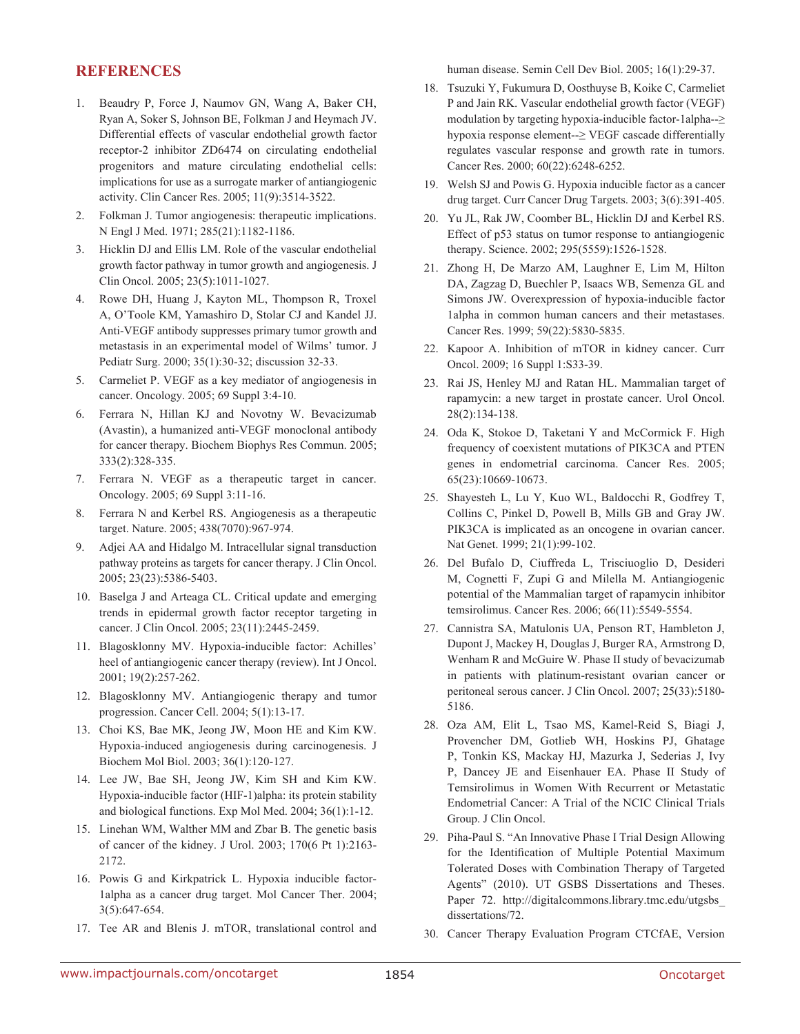### **REFERENCES**

- 1. Beaudry P, Force J, Naumov GN, Wang A, Baker CH, Ryan A, Soker S, Johnson BE, Folkman J and Heymach JV. Differential effects of vascular endothelial growth factor receptor-2 inhibitor ZD6474 on circulating endothelial progenitors and mature circulating endothelial cells: implications for use as a surrogate marker of antiangiogenic activity. Clin Cancer Res. 2005; 11(9):3514-3522.
- 2. Folkman J. Tumor angiogenesis: therapeutic implications. N Engl J Med. 1971; 285(21):1182-1186.
- 3. Hicklin DJ and Ellis LM. Role of the vascular endothelial growth factor pathway in tumor growth and angiogenesis. J Clin Oncol. 2005; 23(5):1011-1027.
- 4. Rowe DH, Huang J, Kayton ML, Thompson R, Troxel A, O'Toole KM, Yamashiro D, Stolar CJ and Kandel JJ. Anti-VEGF antibody suppresses primary tumor growth and metastasis in an experimental model of Wilms' tumor. J Pediatr Surg. 2000; 35(1):30-32; discussion 32-33.
- 5. Carmeliet P. VEGF as a key mediator of angiogenesis in cancer. Oncology. 2005; 69 Suppl 3:4-10.
- 6. Ferrara N, Hillan KJ and Novotny W. Bevacizumab (Avastin), a humanized anti-VEGF monoclonal antibody for cancer therapy. Biochem Biophys Res Commun. 2005; 333(2):328-335.
- 7. Ferrara N. VEGF as a therapeutic target in cancer. Oncology. 2005; 69 Suppl 3:11-16.
- 8. Ferrara N and Kerbel RS. Angiogenesis as a therapeutic target. Nature. 2005; 438(7070):967-974.
- 9. Adjei AA and Hidalgo M. Intracellular signal transduction pathway proteins as targets for cancer therapy. J Clin Oncol. 2005; 23(23):5386-5403.
- 10. Baselga J and Arteaga CL. Critical update and emerging trends in epidermal growth factor receptor targeting in cancer. J Clin Oncol. 2005; 23(11):2445-2459.
- 11. Blagosklonny MV. Hypoxia-inducible factor: Achilles' heel of antiangiogenic cancer therapy (review). Int J Oncol. 2001; 19(2):257-262.
- 12. Blagosklonny MV. Antiangiogenic therapy and tumor progression. Cancer Cell. 2004; 5(1):13-17.
- 13. Choi KS, Bae MK, Jeong JW, Moon HE and Kim KW. Hypoxia-induced angiogenesis during carcinogenesis. J Biochem Mol Biol. 2003; 36(1):120-127.
- 14. Lee JW, Bae SH, Jeong JW, Kim SH and Kim KW. Hypoxia-inducible factor (HIF-1)alpha: its protein stability and biological functions. Exp Mol Med. 2004; 36(1):1-12.
- 15. Linehan WM, Walther MM and Zbar B. The genetic basis of cancer of the kidney. J Urol. 2003; 170(6 Pt 1):2163- 2172.
- 16. Powis G and Kirkpatrick L. Hypoxia inducible factor-1alpha as a cancer drug target. Mol Cancer Ther. 2004; 3(5):647-654.
- 17. Tee AR and Blenis J. mTOR, translational control and

human disease. Semin Cell Dev Biol. 2005; 16(1):29-37.

- 18. Tsuzuki Y, Fukumura D, Oosthuyse B, Koike C, Carmeliet P and Jain RK. Vascular endothelial growth factor (VEGF) modulation by targeting hypoxia-inducible factor-1alpha--≥ hypoxia response element--≥ VEGF cascade differentially regulates vascular response and growth rate in tumors. Cancer Res. 2000; 60(22):6248-6252.
- 19. Welsh SJ and Powis G. Hypoxia inducible factor as a cancer drug target. Curr Cancer Drug Targets. 2003; 3(6):391-405.
- 20. Yu JL, Rak JW, Coomber BL, Hicklin DJ and Kerbel RS. Effect of p53 status on tumor response to antiangiogenic therapy. Science. 2002; 295(5559):1526-1528.
- 21. Zhong H, De Marzo AM, Laughner E, Lim M, Hilton DA, Zagzag D, Buechler P, Isaacs WB, Semenza GL and Simons JW. Overexpression of hypoxia-inducible factor 1alpha in common human cancers and their metastases. Cancer Res. 1999; 59(22):5830-5835.
- 22. Kapoor A. Inhibition of mTOR in kidney cancer. Curr Oncol. 2009; 16 Suppl 1:S33-39.
- 23. Rai JS, Henley MJ and Ratan HL. Mammalian target of rapamycin: a new target in prostate cancer. Urol Oncol. 28(2):134-138.
- 24. Oda K, Stokoe D, Taketani Y and McCormick F. High frequency of coexistent mutations of PIK3CA and PTEN genes in endometrial carcinoma. Cancer Res. 2005; 65(23):10669-10673.
- 25. Shayesteh L, Lu Y, Kuo WL, Baldocchi R, Godfrey T, Collins C, Pinkel D, Powell B, Mills GB and Gray JW. PIK3CA is implicated as an oncogene in ovarian cancer. Nat Genet. 1999; 21(1):99-102.
- 26. Del Bufalo D, Ciuffreda L, Trisciuoglio D, Desideri M, Cognetti F, Zupi G and Milella M. Antiangiogenic potential of the Mammalian target of rapamycin inhibitor temsirolimus. Cancer Res. 2006; 66(11):5549-5554.
- 27. Cannistra SA, Matulonis UA, Penson RT, Hambleton J, Dupont J, Mackey H, Douglas J, Burger RA, Armstrong D, Wenham R and McGuire W. Phase II study of bevacizumab in patients with platinum-resistant ovarian cancer or peritoneal serous cancer. J Clin Oncol. 2007; 25(33):5180- 5186.
- 28. Oza AM, Elit L, Tsao MS, Kamel-Reid S, Biagi J, Provencher DM, Gotlieb WH, Hoskins PJ, Ghatage P, Tonkin KS, Mackay HJ, Mazurka J, Sederias J, Ivy P, Dancey JE and Eisenhauer EA. Phase II Study of Temsirolimus in Women With Recurrent or Metastatic Endometrial Cancer: A Trial of the NCIC Clinical Trials Group. J Clin Oncol.
- 29. Piha-Paul S. "An Innovative Phase I Trial Design Allowing for the Identification of Multiple Potential Maximum Tolerated Doses with Combination Therapy of Targeted Agents" (2010). UT GSBS Dissertations and Theses. Paper 72. http://digitalcommons.library.tmc.edu/utgsbs\_ dissertations/72.
- 30. Cancer Therapy Evaluation Program CTCfAE, Version